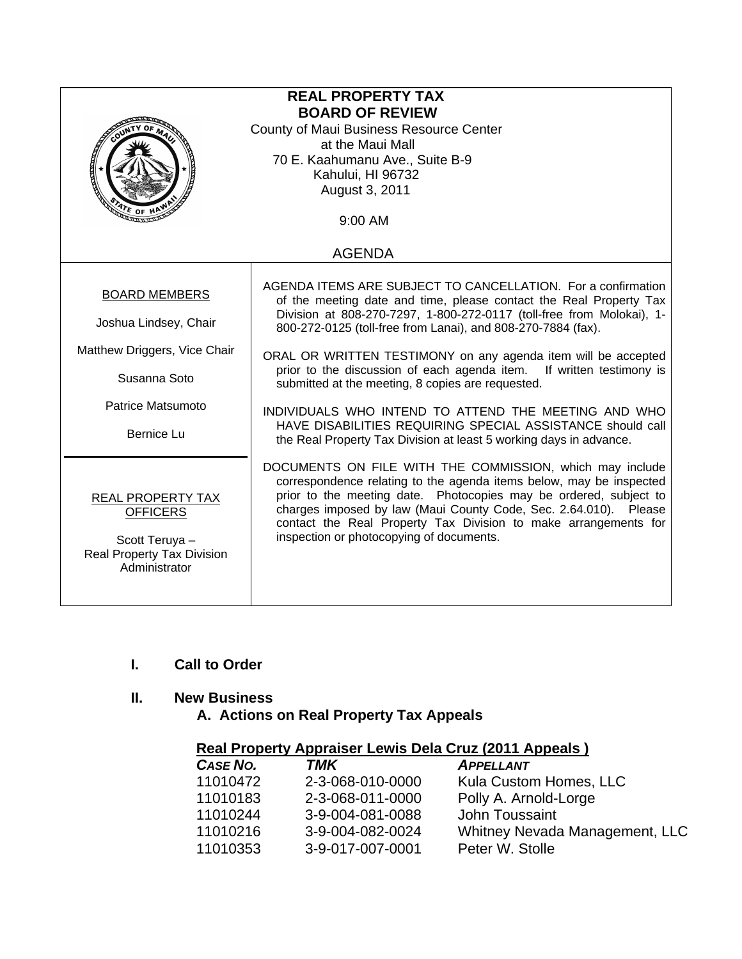| <b>REAL PROPERTY TAX</b><br><b>BOARD OF REVIEW</b><br>County of Maui Business Resource Center<br>at the Maui Mall<br>70 E. Kaahumanu Ave., Suite B-9<br>Kahului, HI 96732<br>August 3, 2011<br>ATE OF H<br>9:00 AM |                                                                                                                                                                                                                                                                                                                                                                                                                                                                                                                                                                                                                                                                       |  |
|--------------------------------------------------------------------------------------------------------------------------------------------------------------------------------------------------------------------|-----------------------------------------------------------------------------------------------------------------------------------------------------------------------------------------------------------------------------------------------------------------------------------------------------------------------------------------------------------------------------------------------------------------------------------------------------------------------------------------------------------------------------------------------------------------------------------------------------------------------------------------------------------------------|--|
| <b>AGENDA</b>                                                                                                                                                                                                      |                                                                                                                                                                                                                                                                                                                                                                                                                                                                                                                                                                                                                                                                       |  |
| <b>BOARD MEMBERS</b><br>Joshua Lindsey, Chair<br>Matthew Driggers, Vice Chair<br>Susanna Soto<br>Patrice Matsumoto<br><b>Bernice Lu</b>                                                                            | AGENDA ITEMS ARE SUBJECT TO CANCELLATION. For a confirmation<br>of the meeting date and time, please contact the Real Property Tax<br>Division at 808-270-7297, 1-800-272-0117 (toll-free from Molokai), 1-<br>800-272-0125 (toll-free from Lanai), and 808-270-7884 (fax).<br>ORAL OR WRITTEN TESTIMONY on any agenda item will be accepted<br>prior to the discussion of each agenda item. If written testimony is<br>submitted at the meeting, 8 copies are requested.<br>INDIVIDUALS WHO INTEND TO ATTEND THE MEETING AND WHO<br>HAVE DISABILITIES REQUIRING SPECIAL ASSISTANCE should call<br>the Real Property Tax Division at least 5 working days in advance. |  |
| <b>REAL PROPERTY TAX</b><br><b>OFFICERS</b><br>Scott Teruya -<br><b>Real Property Tax Division</b><br>Administrator                                                                                                | DOCUMENTS ON FILE WITH THE COMMISSION, which may include<br>correspondence relating to the agenda items below, may be inspected<br>prior to the meeting date. Photocopies may be ordered, subject to<br>charges imposed by law (Maui County Code, Sec. 2.64.010). Please<br>contact the Real Property Tax Division to make arrangements for<br>inspection or photocopying of documents.                                                                                                                                                                                                                                                                               |  |

# **I. Call to Order**

## **II. New Business**

 **A. Actions on Real Property Tax Appeals** 

| <b>Real Property Appraiser Lewis Dela Cruz (2011 Appeals)</b> |  |
|---------------------------------------------------------------|--|
|---------------------------------------------------------------|--|

| CASE NO. | <b>TMK</b>       | <b>APPELLANT</b>               |  |
|----------|------------------|--------------------------------|--|
| 11010472 | 2-3-068-010-0000 | Kula Custom Homes, LLC         |  |
| 11010183 | 2-3-068-011-0000 | Polly A. Arnold-Lorge          |  |
| 11010244 | 3-9-004-081-0088 | John Toussaint                 |  |
| 11010216 | 3-9-004-082-0024 | Whitney Nevada Management, LLC |  |
| 11010353 | 3-9-017-007-0001 | Peter W. Stolle                |  |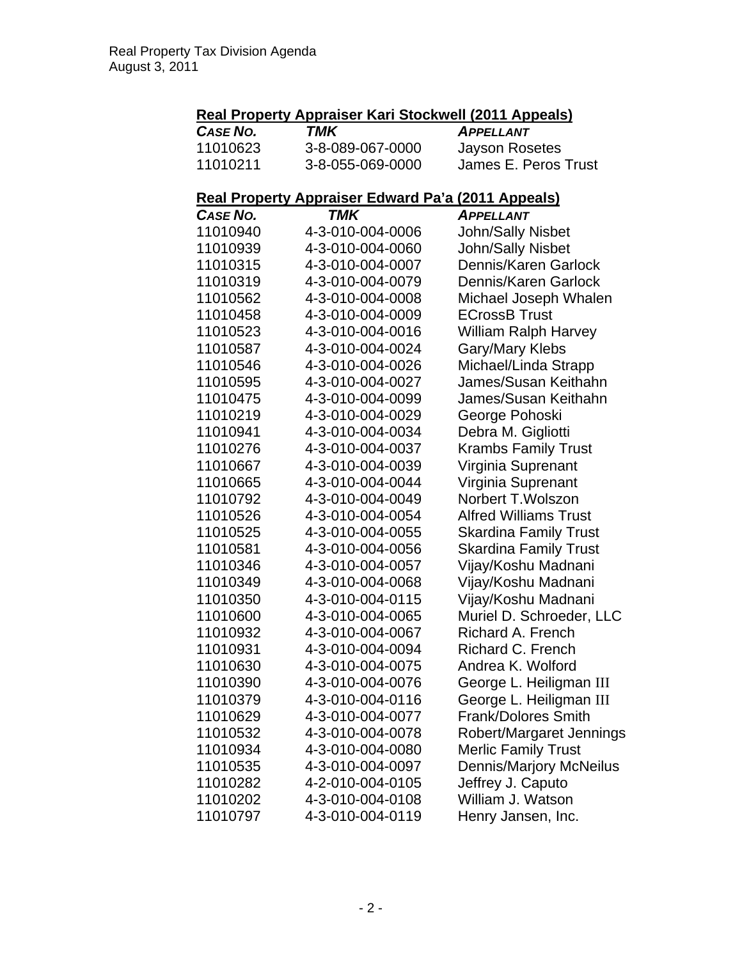### **Real Property Appraiser Kari Stockwell (2011 Appeals)**

| CASE NO. | TMK              | <b>APPELLANT</b>     |
|----------|------------------|----------------------|
| 11010623 | 3-8-089-067-0000 | Jayson Rosetes       |
| 11010211 | 3-8-055-069-0000 | James E. Peros Trust |

#### **Real Property Appraiser Edward Pa'a (2011 Appeals)**

| <b>CASE NO.</b> | TMK              | <u>.</u><br><b>APPELLANT</b>   |
|-----------------|------------------|--------------------------------|
| 11010940        | 4-3-010-004-0006 | John/Sally Nisbet              |
| 11010939        | 4-3-010-004-0060 | John/Sally Nisbet              |
| 11010315        | 4-3-010-004-0007 | Dennis/Karen Garlock           |
| 11010319        | 4-3-010-004-0079 | Dennis/Karen Garlock           |
| 11010562        | 4-3-010-004-0008 | Michael Joseph Whalen          |
| 11010458        | 4-3-010-004-0009 | <b>ECrossB Trust</b>           |
| 11010523        | 4-3-010-004-0016 | <b>William Ralph Harvey</b>    |
| 11010587        | 4-3-010-004-0024 | Gary/Mary Klebs                |
| 11010546        | 4-3-010-004-0026 | Michael/Linda Strapp           |
| 11010595        | 4-3-010-004-0027 | James/Susan Keithahn           |
| 11010475        | 4-3-010-004-0099 | James/Susan Keithahn           |
| 11010219        | 4-3-010-004-0029 | George Pohoski                 |
| 11010941        | 4-3-010-004-0034 | Debra M. Gigliotti             |
| 11010276        | 4-3-010-004-0037 | <b>Krambs Family Trust</b>     |
| 11010667        | 4-3-010-004-0039 | Virginia Suprenant             |
| 11010665        | 4-3-010-004-0044 | Virginia Suprenant             |
| 11010792        | 4-3-010-004-0049 | Norbert T. Wolszon             |
| 11010526        | 4-3-010-004-0054 | <b>Alfred Williams Trust</b>   |
| 11010525        | 4-3-010-004-0055 | <b>Skardina Family Trust</b>   |
| 11010581        | 4-3-010-004-0056 | <b>Skardina Family Trust</b>   |
| 11010346        | 4-3-010-004-0057 | Vijay/Koshu Madnani            |
| 11010349        | 4-3-010-004-0068 | Vijay/Koshu Madnani            |
| 11010350        | 4-3-010-004-0115 | Vijay/Koshu Madnani            |
| 11010600        | 4-3-010-004-0065 | Muriel D. Schroeder, LLC       |
| 11010932        | 4-3-010-004-0067 | Richard A. French              |
| 11010931        | 4-3-010-004-0094 | Richard C. French              |
| 11010630        | 4-3-010-004-0075 | Andrea K. Wolford              |
| 11010390        | 4-3-010-004-0076 | George L. Heiligman III        |
| 11010379        | 4-3-010-004-0116 | George L. Heiligman III        |
| 11010629        | 4-3-010-004-0077 | <b>Frank/Dolores Smith</b>     |
| 11010532        | 4-3-010-004-0078 | Robert/Margaret Jennings       |
| 11010934        | 4-3-010-004-0080 | <b>Merlic Family Trust</b>     |
| 11010535        | 4-3-010-004-0097 | <b>Dennis/Marjory McNeilus</b> |
| 11010282        | 4-2-010-004-0105 | Jeffrey J. Caputo              |
| 11010202        | 4-3-010-004-0108 | William J. Watson              |
| 11010797        | 4-3-010-004-0119 | Henry Jansen, Inc.             |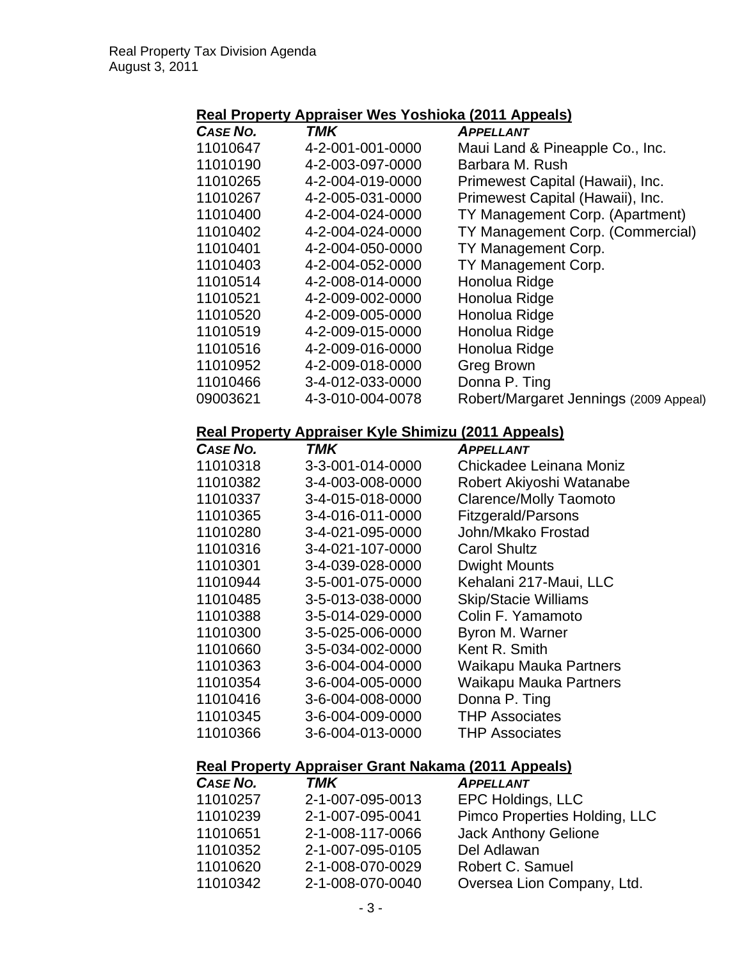### **Real Property Appraiser Wes Yoshioka (2011 Appeals)**

| TMK              | <b>APPELLANT</b>                       |
|------------------|----------------------------------------|
| 4-2-001-001-0000 | Maui Land & Pineapple Co., Inc.        |
| 4-2-003-097-0000 | Barbara M. Rush                        |
| 4-2-004-019-0000 | Primewest Capital (Hawaii), Inc.       |
| 4-2-005-031-0000 | Primewest Capital (Hawaii), Inc.       |
| 4-2-004-024-0000 | TY Management Corp. (Apartment)        |
| 4-2-004-024-0000 | TY Management Corp. (Commercial)       |
| 4-2-004-050-0000 | TY Management Corp.                    |
| 4-2-004-052-0000 | TY Management Corp.                    |
| 4-2-008-014-0000 | Honolua Ridge                          |
| 4-2-009-002-0000 | Honolua Ridge                          |
| 4-2-009-005-0000 | Honolua Ridge                          |
| 4-2-009-015-0000 | Honolua Ridge                          |
| 4-2-009-016-0000 | Honolua Ridge                          |
| 4-2-009-018-0000 | <b>Greg Brown</b>                      |
| 3-4-012-033-0000 | Donna P. Ting                          |
| 4-3-010-004-0078 | Robert/Margaret Jennings (2009 Appeal) |
|                  |                                        |

#### **Real Property Appraiser Kyle Shimizu (2011 Appeals)**

| CASE NO. | TMK              | <b>APPELLANT</b>              |
|----------|------------------|-------------------------------|
| 11010318 | 3-3-001-014-0000 | Chickadee Leinana Moniz       |
| 11010382 | 3-4-003-008-0000 | Robert Akiyoshi Watanabe      |
| 11010337 | 3-4-015-018-0000 | <b>Clarence/Molly Taomoto</b> |
| 11010365 | 3-4-016-011-0000 | <b>Fitzgerald/Parsons</b>     |
| 11010280 | 3-4-021-095-0000 | John/Mkako Frostad            |
| 11010316 | 3-4-021-107-0000 | <b>Carol Shultz</b>           |
| 11010301 | 3-4-039-028-0000 | <b>Dwight Mounts</b>          |
| 11010944 | 3-5-001-075-0000 | Kehalani 217-Maui, LLC        |
| 11010485 | 3-5-013-038-0000 | <b>Skip/Stacie Williams</b>   |
| 11010388 | 3-5-014-029-0000 | Colin F. Yamamoto             |
| 11010300 | 3-5-025-006-0000 | Byron M. Warner               |
| 11010660 | 3-5-034-002-0000 | Kent R. Smith                 |
| 11010363 | 3-6-004-004-0000 | <b>Waikapu Mauka Partners</b> |
| 11010354 | 3-6-004-005-0000 | Waikapu Mauka Partners        |
| 11010416 | 3-6-004-008-0000 | Donna P. Ting                 |
| 11010345 | 3-6-004-009-0000 | <b>THP Associates</b>         |
| 11010366 | 3-6-004-013-0000 | <b>THP Associates</b>         |

#### **Real Property Appraiser Grant Nakama (2011 Appeals)**

| CASE NO. | <b>TMK</b>       | <b>APPELLANT</b>              |
|----------|------------------|-------------------------------|
| 11010257 | 2-1-007-095-0013 | EPC Holdings, LLC             |
| 11010239 | 2-1-007-095-0041 | Pimco Properties Holding, LLC |
| 11010651 | 2-1-008-117-0066 | <b>Jack Anthony Gelione</b>   |
| 11010352 | 2-1-007-095-0105 | Del Adlawan                   |
| 11010620 | 2-1-008-070-0029 | Robert C. Samuel              |
| 11010342 | 2-1-008-070-0040 | Oversea Lion Company, Ltd.    |